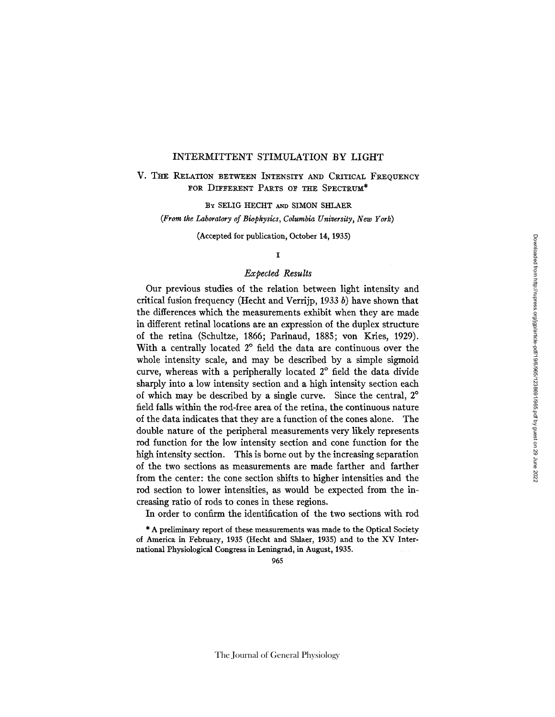## INTERMITTENT STIMULATION BY LIGHT

# V. THE RELATION BETWEEN INTENSITY AND CRITICAL FREQUENCY FOR DIFFERENT PARTS OF THE SPECTRUM\*

BY SELIG HECHT AND SIMON SHLAER

## *(From the Laboratory of Biophysics, Columbia University, New York)*

(Accepted for publication, October 14, 1935)

## $\mathbf{I}$

## *Expected Results*

Our previous studies of the relation between light intensity and critical fusion frequency (Hecht and Verrijp,  $1933 b$ ) have shown that the differences which the measurements exhibit when they are made in different retinal locations are an expression of the duplex structure of the retina (Schultze, 1866; Parinaud, 1885; yon Kries, 1929). With a centrally located  $2^{\circ}$  field the data are continuous over the whole intensity scale, and may be described by a simple sigmoid curve, whereas with a peripherally located  $2^{\circ}$  field the data divide sharply into a low intensity section and a high intensity section each of which may be described by a single curve. Since the central,  $2^{\circ}$ field falls within the rod-free area of the retina, the continuous nature of the data indicates that they are a function of the cones alone. The double nature of the peripheral measurements very likely represents rod function for the low intensity section and cone function for the high intensity section. This is borne out by the increasing separation of the two sections as measurements are made farther and farther from the center: the cone section shifts to higher intensities and the rod section to lower intensities, as would be expected from the increasing ratio of rods to cones in these regions.

In order to confirm the identification of the two sections with rod

\* A preliminary report of these measurements was made to the Optical Society of America in February, 1935 (Hecht and Shlaer, 1935) and to the XV International Physiological Congress in Leningrad, in August, 1935.

965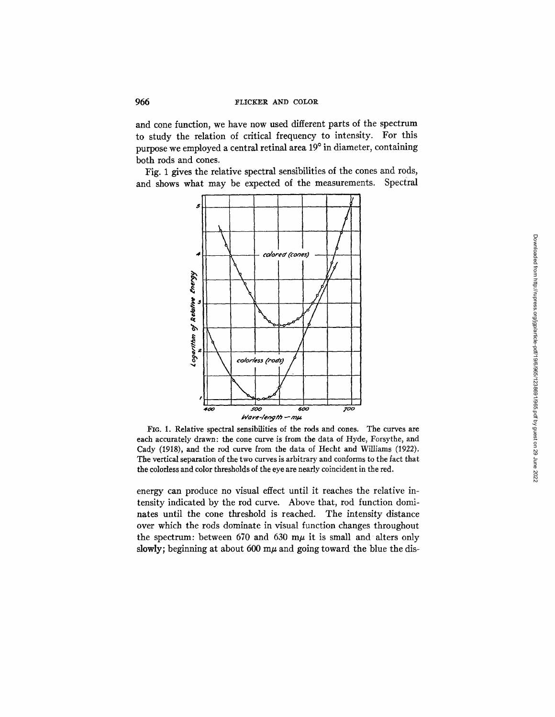and cone function, we have now used different parts of the spectrum to study the relation of critical frequency to intensity. For this purpose we employed a central retinal area 19° in diameter, containing both rods and cones.

Fig. 1 gives the relative spectral sensibilities of the cones and rods, and shows what may be expected of the measurements. Spectral



FIG. 1. Relative spectral sensibilities of the rods and cones. The curves are each accurately drawn: the cone curve is from the data of Hyde, Forsythe, and Cady (1918), and the rod curve from the data of Hecht and Williams (1922). The vertical separation of the two curves is arbitrary and conforms to the fact that the colorless and color thresholds of the eye are nearly coincident in the red.

energy can produce no visual effect until it reaches the relative intensity indicated by the rod curve. Above that, rod function dominates until the cone threshold is reached. The intensity distance over which the rods dominate in visual function changes throughout the spectrum: between 670 and 630 m $\mu$  it is small and alters only slowly; beginning at about 600  $m\mu$  and going toward the blue the dis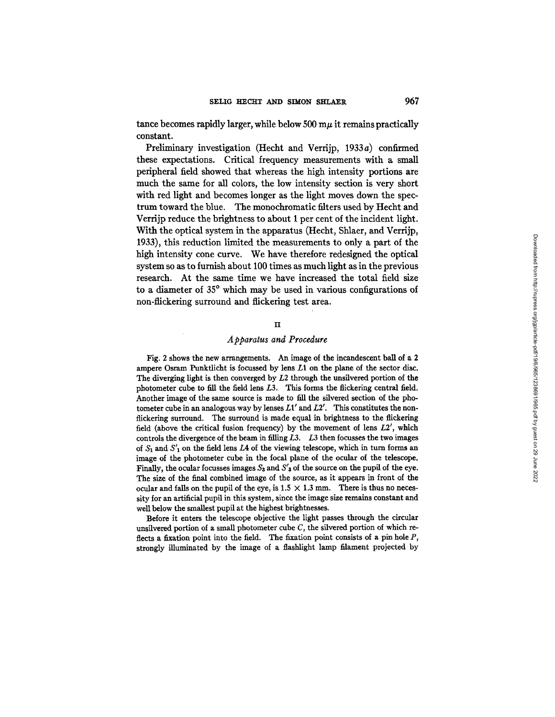tance becomes rapidly larger, while below 500  $m\mu$  it remains practically constant.

Preliminary investigation (Hecht and Verrijp, 1933a) confirmed these expectations. Critical frequency measurements with a small peripheral field showed that whereas the high intensity portions are much the same for all colors, the low intensity section is very short with red light and becomes longer as the light moves down the spectrum toward the blue. The monochromatic filters used by Hecht and Verrijp reduce the brightness to about 1 per cent of the incident light. With the optical system in the apparatus (Hecht, Shlaer, and Verrijp, 1933), this reduction limited the measurements to only a part of the high intensity cone curve. We have therefore redesigned the optical system so as to furnish about 100 times as much light as in the previous research. At the same time we have increased the total field size to a diameter of 35° which may be used in various configurations of non-flickering surround and flickering test area.

### II

### *Apparatus and Procedure*

Fig. 2 shows the new arrangements. An image of the incandescent ball of a 2 ampere Osram Punktlicht is focussed by lens  $L1$  on the plane of the sector disc. The diverging light is then converged by L2 through the unsilvered portion of the photometer cube to fill the field lens L3. This forms the flickering central field. Another image of the same source is made to fill the silvered section of the photometer cube in an analogous way by lenses  $L1'$  and  $L2'$ . This constitutes the nonflickering surround. The surround is made equal in brightness to the flickering field (above the critical fusion frequency) by the movement of lens *L2',* which controls the divergence of the beam in filling  $L3$ .  $L3$  then focusses the two images of  $S_1$  and  $S'_1$  on the field lens L4 of the viewing telescope, which in turn forms an image of the photometer cube in the focal plane of the ocular of the telescope. Finally, the ocular focusses images  $S_3$  and  $S'_3$  of the source on the pupil of the eye. The size of the final combined image of the source, as it appears in front of the ocular and falls on the pupil of the eye, is  $1.5 \times 1.3$  mm. There is thus no necessity for an artificial pupil in this system, since the image size remains constant and well below the smallest pupil at the highest brightnesses.

Before it enters the telescope objective the light passes through the circular unsilvered portion of a small photometer cube  $C$ , the silvered portion of which reflects a fixation point into the field. The fixation point consists of a pin hole *P,*  strongly illuminated by the image of a flashlight lamp filament projected by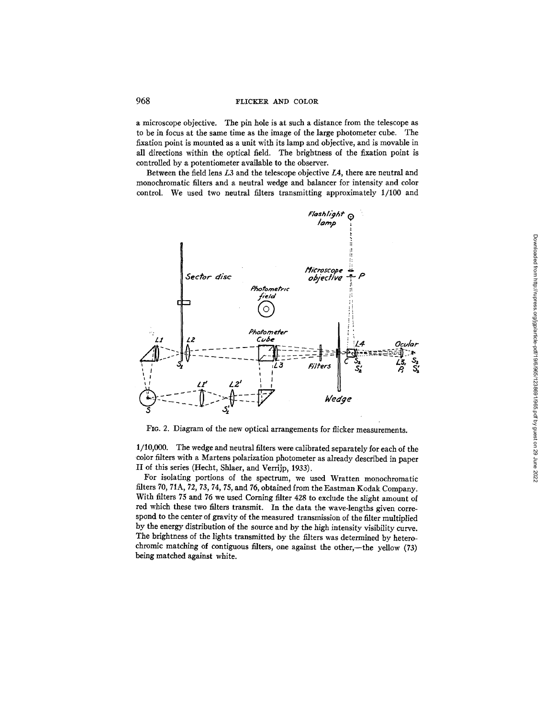## 968 FLICKER AND COLOR

a microscope objective. The pin hole is at such a distance from the telescope as to be in focus at the same time as the image of the large photometer cube. The fixation point is mounted as a unit with its lamp and objective, and is movable in all directions within the optical field. The brightness of the fixation point is controlled by a potentiometer available to the observer.

Between the field lens L3 and the telescope objective *L4,* there are neutral and monochromatic filters and a neutral wedge and balancer for intensity and color control. We used two neutral filters transmitting approximately 1/100 and



FIG. 2. Diagram of the new optical arrangements for flicker measurements.

1/10,000. The wedge and neutral filters were calibrated separately for each of the color filters with a Martens polarization photometer as already described in paper II of this series (Hecht, Shlaer, and Verrijp, 1933).

For isolating portions of the spectrum, we used Wratten monochromatic filters 70, 71A, 72, 73, 74, 75, and 76, obtained from the Eastman Kodak Company. With filters 75 and 76 we used Coming filter 428 to exclude the slight amount of red which these two filters transmit. In the data the wave-lengths given correspond to the center of gravity of the measured transmission of the filter multiplied by the energy distribution of the source and by the high intensity visibility curve. The brightness of the lights transmitted by the filters was determined by heterochromic matching of contiguous filters, one against the other,—the yellow (73) being matched against white.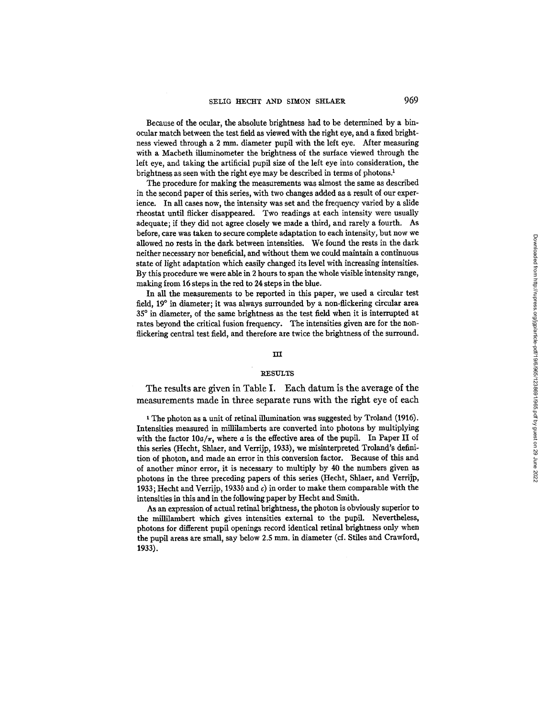Because of the ocular, the absolute brightness had to be determined by a binocular match between the test field as viewed with the right eye, and a fixed brightness viewed through a 2 mm. diameter pupil with the left eye. After measuring with a Macbeth illuminometer the brightness of the surface viewed through the left eye, and taking the artificial pupil size of the left eye into consideration, the brightness as seen with the right eye may be described in terms of photons.<sup>1</sup>

The procedure for making the measurements was almost the same as described in the second paper of this series, with two changes added as a result of our experience. In all cases now, the intensity was set and the frequency varied by a slide rheostat until flicker disappeared. Two readings at each intensity were usually adequate; if they did not agree closely we made a third, and rarely a fourth. As before, care was taken to secure complete adaptation to each intensity, but now we allowed no rests in the dark between intensities. We found the rests in the dark neither necessary nor beneficial, and without them we could maintain a continuous state of light adaptation which easily changed its level with increasing intensities. By this procedure we were able in 2 hours to span the whole visible intensity range, making from 16 steps in the red to 24 steps in the blue.

In all the measurements to be reported in this paper, we used a circular test field, 19° in diameter; it was always surrounded by a non-flickering circular area 35 ° in diameter, of the same brightness as the test field when it is interrupted at rates beyond the critical fusion frequency. The intensities given are for the nonflickering central test field, and therefore are twice the brightness of the surround.

#### HI

## **RESULTS**

The results are given in Table I. Each datum is the average of the measurements made in three separate runs with the right eye of each

<sup>1</sup> The photon as a unit of retinal illumination was suggested by Troland (1916). Intensities measured in millilamberts are converted into photons by multiplying with the factor  $10a/\pi$ , where a is the effective area of the pupil. In Paper II of this series (Hecht, Shlaer, and Verrijp, 1933), we misinterpreted Troland's definition of photon, and made an error in this conversion factor. Because of this and of another minor error, it is necessary to multiply by 40 the numbers given as photons in the three preceding papers of this series (Hecht, Shlaer, and Verrijp, 1933; Hecht and Verrijp, 1933b and  $c$ ) in order to make them comparable with the intensities in this and in the following paper by Hecht and Smith.

As an expression of actual retinal brightness, the photon is obviously superior to the millilambert which gives intensities external to the pupil. Nevertheless, photons for different pupil openings record identical retinal brightness only when the pupil areas are small, say below 2.5 mm. in diameter (cf. Stiles and Crawford, 1933).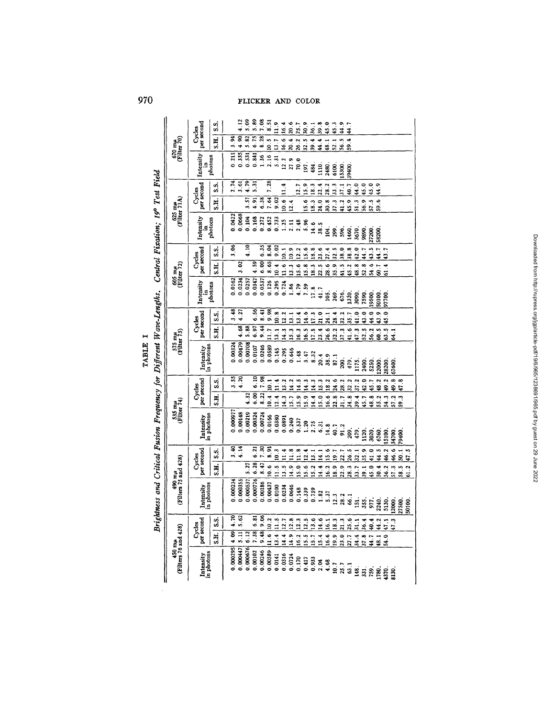|         | for Different Wave-Lenghs. Central Pixation; 19° Test Field                                 |
|---------|---------------------------------------------------------------------------------------------|
| TABLE 1 |                                                                                             |
|         | 计可变性 医血管切除术 医心脏 医心脏 医心脏 医心脏 医心脏 医心脏 医心脏 医心脏<br>Brightness and Critical Fusion Frequency for |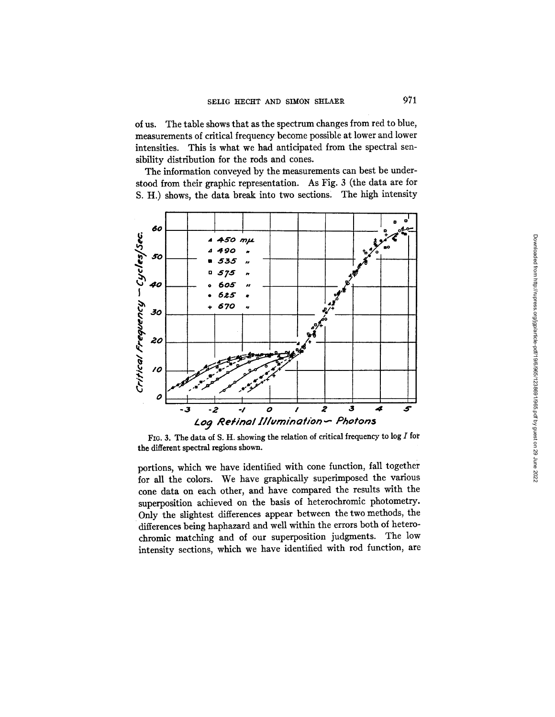of us. The table shows that as the spectrum changes from red to blue, measurements of critical frequency become possible at lower and lower intensities. This is what we had anticipated from the spectral sensibility distribution for the rods and cones.

The information conveyed by the measurements can best be understood from their graphic representation. As Fig. 3 (the data are for S. H.) shows, the data break into two sections: The high intensity



FIG. 3. The data of S. H. showing the relation of critical frequency to log  $I$  for the different spectral regions shown.

portions, which we have identified with cone function, fall together for all the colors. We have graphically superimposed the various cone data on each other, and have compared the results with the superposition achieved on the basis of heterochromic photometry. Only the slightest differences appear between the two methods, the differences being haphazard and well within the errors both of heterochromic matching and of our superposition judgments. The low intensity sections, which we have identified with rod function, are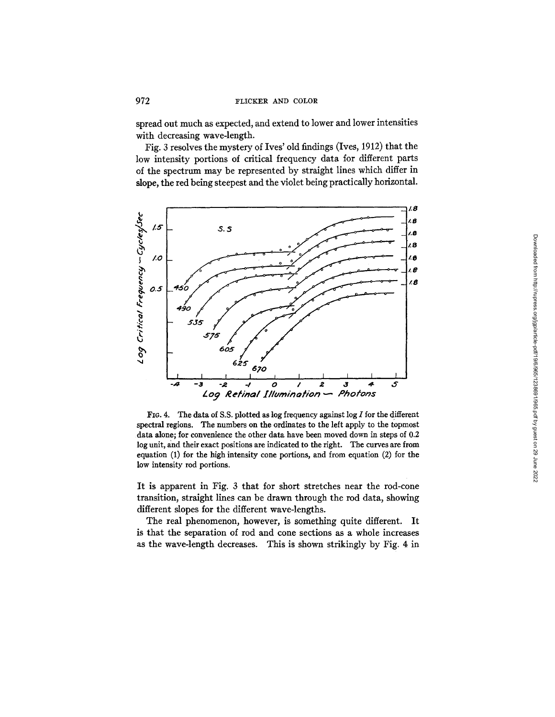spread out much as expected, and extend to lower and lower intensities with decreasing wave-length.

Fig. 3 resolves the mystery of Ires' old findings (Ires, 1912) that the low intensity portions of critical frequency data for different parts of the spectrum may be represented by straight lines which differ in slope, the red being steepest and the violet being practically horizontal.



FIG. 4. The data of S.S. plotted as log frequency against  $\log I$  for the different spectral regions. The numbers on the ordinates to the left apply to the topmost data alone; for convenience the other data have been moved down in steps of 0.2 log unit, and their exact positions are indicated to the right. The curves are from equation (1) for the high intensity cone portions, and from equation (2) for the low intensity rod portions.

It is apparent in Fig. 3 that for short stretches near the rod-cone transition, straight lines can be drawn through the rod data, showing different slopes for the different wave-lengths.

The real phenomenon, however, is something quite different. It is that the separation of rod and cone sections as a whole increases as the wave-length decreases. This is shown strikingly by Fig. 4 in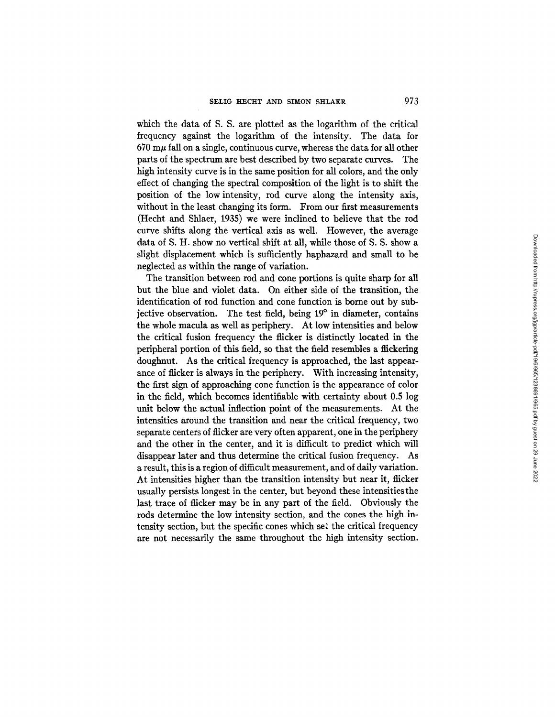which the data of S. S. are plotted as the logarithm of the critical frequency against the logarithm of the intensity. The data for  $670 \text{ m}\mu$  fall on a single, continuous curve, whereas the data for all other parts of the spectrum are best described by two separate curves. The high intensity curve is in the same position for all colors, and the only effect of changing the spectral composition of the light is to shift the position of the low intensity, rod curve along the intensity axis, without in the least changing its form. From our first measurements (Hecht and Shlaer, 1935) we were inclined to believe that the rod curve shifts along the vertical axis as well. However, the average data of S. H. show no vertical shift at all, while those of S. S. show a slight displacement which is sufficiently haphazard and small to be neglected as within the range of variation.

The transition between rod and cone portions is quite sharp for all but the blue and violet data. On either side of the transition, the identification of rod function and cone function is borne out by subjective observation. The test field, being  $19^{\circ}$  in diameter, contains the whole macula as well as periphery. At low intensities and below the critical fusion frequency the flicker is distinctly located in the peripheral portion of this field, so that the field resembles a flickering doughnut. As the critical frequency is approached, the last appearance of flicker is always in the periphery. With increasing intensity, the first sign of approaching cone function is the appearance of color in the field, which becomes identifiable with certainty about 0.5 log unit below the actual inflection point of the measurements. At the intensities around the transition and near the critical frequency, two separate centers of flicker are very often apparent, one in the periphery and the other in the center, and it is difficult to predict which will disappear later and thus determine the critical fusion frequency. As a result, this is a region of difficult measurement, and of daily variation. At intensities higher than the transition intensity but near it, flicker usually persists longest in the center, but beyond these intensities the last trace of flicker may be in any part of the field. Obviously the rods determine the low intensity section, and the cones the high intensity section, but the specific cones which set the critical frequency are not necessarily the same throughout the high intensity section.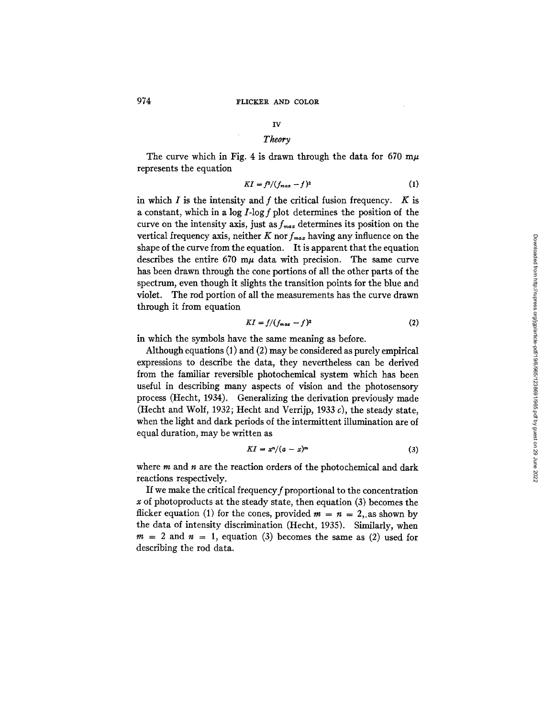## *IV*

# *Theory*

The curve which in Fig. 4 is drawn through the data for 670 m $\mu$ represents the equation

$$
KI = f^2/(f_{max} - f)^2 \tag{1}
$$

in which  $I$  is the intensity and  $f$  the critical fusion frequency.  $K$  is a constant, which in a  $\log I$ -log f plot determines the position of the curve on the intensity axis, just as  $f_{max}$  determines its position on the vertical frequency axis, neither K nor  $f_{max}$  having any influence on the shape of the curve from the equation. It is apparent that the equation describes the entire  $670 \text{ m}\mu$  data with precision. The same curve has been drawn through the cone portions of all the other parts of the spectrum, even though it slights the transition points for the blue and violet. The rod portion of all the measurements has the curve drawn through it from equation

$$
KI = f/(f_{max} - f)^2
$$
 (2)

in which the symbols have the same meaning as before.

Although equations (1) and (2) may be considered as purely empirical expressions to describe the data, they nevertheless can be derived from the familiar reversible photochemical system which has been useful in describing many aspects of vision and the photosensory process (Hecht, 1934). Generalizing the derivation previously made (Hecht and Wolf, 1932; Hecht and Verrijp, 1933 c), the steady state, when the light and dark periods of the intermittent illumination are of equal duration, may be written as

$$
KI = x^n/(a-x)^m \tag{3}
$$

where  $m$  and  $n$  are the reaction orders of the photochemical and dark reactions respectively.

If we make the critical frequency f proportional to the concentration x of photoproducts at the steady state, then equation  $(3)$  becomes the flicker equation (1) for the cones, provided  $m = n = 2$ , as shown by the data of intensity discrimination (Hecht, 1935). Similarly, when  $m = 2$  and  $n = 1$ , equation (3) becomes the same as (2) used for describing the rod data.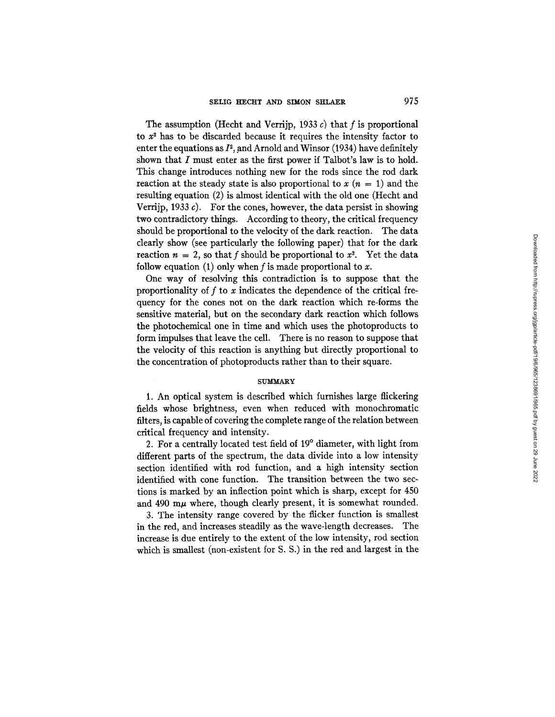The assumption (Hecht and Verrijp, 1933 c) that f is proportional to  $x<sup>2</sup>$  has to be discarded because it requires the intensity factor to enter the equations as  $I^2$ , and Arnold and Winsor (1934) have definitely shown that  $I$  must enter as the first power if Talbot's law is to hold. This change introduces nothing new for the rods since the rod dark reaction at the steady state is also proportional to  $x (n = 1)$  and the resulting equation (2) is almost identical with the old one (Hecht and Verrijp, 1933 c). For the cones, however, the data persist in showing two contradictory things. According to theory, the critical frequency should be proportional to the velocity of the dark reaction. The data dearly show (see particularly the following paper) that for the dark reaction  $n = 2$ , so that f should be proportional to  $x^2$ . Yet the data follow equation (1) only when f is made proportional to x.

One way of resolving this contradiction is to suppose that the proportionality of  $f$  to  $x$  indicates the dependence of the critical frequency for the cones not on the dark reaction which re-forms the sensitive material, but on the secondary dark reaction which follows the photochemical one in time and which uses the photoproducts to form impulses that leave the cell. There is no reason to suppose that the velocity of this reaction is anything but directly proportional to the concentration of photoproducts rather than to their square.

### **SUMMARY**

1. An optical system is described which furnishes large flickering fields whose brightness, even when reduced with monochromatic filters, is capable of covering the complete range of the relation between critical frequency and intensity.

2. For a centrally located test field of 19° diameter, with light from different parts of the spectrum, the data divide into a low intensity section identified with rod function, and a high intensity section identified with cone function. The transition between the two sections is marked by an inflection point which is sharp, except for 450 and 490  $m\mu$  where, though clearly present, it is somewhat rounded.

3. The intensity range covered by the flicker function is smallest in the red, and increases steadily as the wave-length decreases. The increase is due entirely to the extent of the low intensity, rod section which is smallest (non-existent for S. S.) in the red and largest in the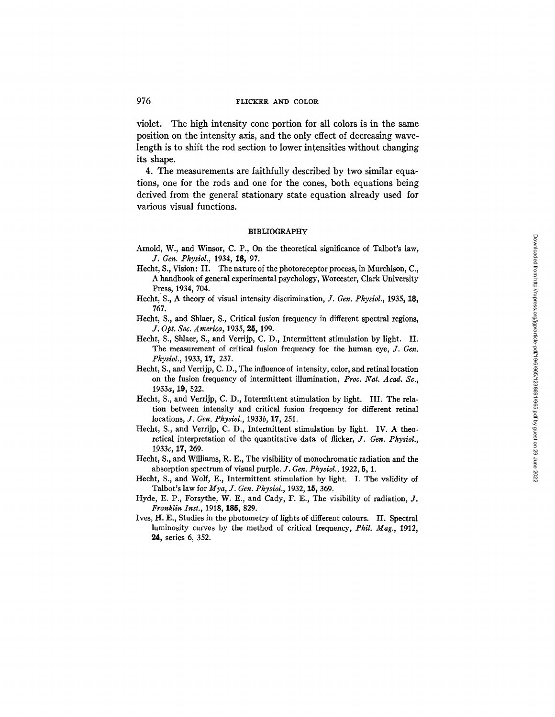## 976 FLICKER AND COLOR

violet. The high intensity cone portion for all colors is in the same position on the intensity axis, and the only effect of decreasing wavelength is to shift the rod section to lower intensities without changing its shape.

4. The measurements are faithfully described by two similar equations, one for the rods and one for the cones, both equations being derived from the general stationary state equation already used for various visual functions.

#### BIBLIOGRAPHY

- Arnold, W., and Winsor, C. P., On the theoretical significance of Talbot's law, *J. Gen. Physiol.,* 1934, 18, 97.
- Hecht, S., Vision: II. The nature of the photoreceptor process, in Murchison, C., A handbook of general experimental psychology, Worcester, Clark University Press, 1934, 704.
- Hecht, S., A theory of visual intensity discrimination, *J. Gen. Physiol.*, 1935, 18, 767.
- Hecht, S., and Shlaer, S., Critical fusion frequency in different spectral regions, *J. Opt. Soc. America,* 1935, 25, 199.
- Hecht, S., Shlaer, S., and Verrijp, C. D., Intermittent stimulation by light. II. The measurement of critical fusion frequency for the human eye, *J. Gen. Physiol.,* 1933, 17, 237.
- Hecht, S., and Verrijp, C. D., The influence of intensity, color, and retinal location on the fusion frequency of intermittent illumination, *Proc. Nat. Acad. So.,*  1933a, 19, 522.
- Hecht, S., and Verrijp, C. D., Intermittent stimulation by light. IIL The relation between intensity and critical fusion frequency for different retinal locations, *J. Gen. Physiol.,* 1933b, 17, 251.
- Hecht, S., and Verrijp, C. D., Intermittent stimulation by light. IV. A theoretical interpretation of the quantitative data of flicker, *J. Gen. Physiol.,*  1933c, 17, 269.
- Hecht, S., and Williams, R. E., The visibility of monochromatic radiation and the absorption spectrum of visual purple. *J. Gen. Physiol.,* 1922, 5, 1.
- Hecht, S., and Wolf, E., Intermittent stimulation by light. I. The validity of Talbot's law for *Mya, J. Gen. Physiol.,* 1932, 15, 369.
- Hyde, E. P., Forsythe, W. E., and Cady, F. E., The visibility of radiation, J. *Franklin Inst.,* 1918, 185, 829.
- Ives, H. E., Studies in the photometry of lights of different colours. II. Spectral luminosity curves by the method of critical frequency, *Phil. Mag.,* 1912, 24, series 6, 352.